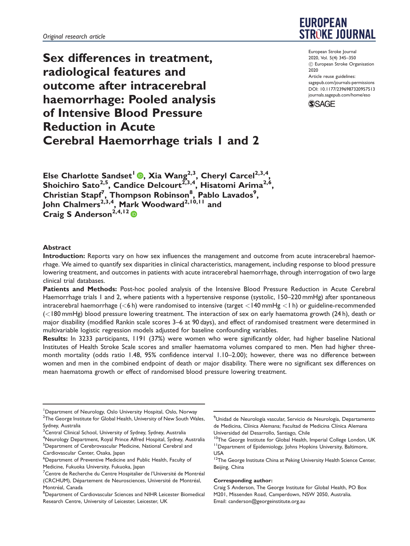Sex differences in treatment, radiological features and outcome after intracerebral haemorrhage: Pooled analysis of Intensive Blood Pressure Reduction in Acute Cerebral Haemorrhage trials 1 and 2



European Stroke Journal 2020, Vol. 5(4) 345–350 ! European Stroke Organisation 2020 Article reuse guidelines: [sagepub.com/journals-permissions](http://uk.sagepub.com/en-gb/journals-permissions) [DOI: 10.1177/2396987320957513](http://dx.doi.org/10.1177/2396987320957513) <journals.sagepub.com/home/eso>



Else Charlotte Sandset<sup>1</sup> **.**, Xia Wang<sup>2,3</sup>, Cheryl Carcel<sup>2,3,4</sup>, Shoichiro Sato $^{2,5}$ , Candice Delcourt $^{2,3,4}$ , Hisatomi Arima $^{2,6},$ Christian Stapf<sup>7</sup>, Thompson Robinson<sup>8</sup>, Pablo Lavados<sup>9</sup>, John Chalmers<sup>2,3,4</sup>, Mark Woodward<sup>2,10,11</sup> and Craig S Anderson<sup>2,4,12</sup>

## Abstract

Introduction: Reports vary on how sex influences the management and outcome from acute intracerebral haemorrhage. We aimed to quantify sex disparities in clinical characteristics, management, including response to blood pressure lowering treatment, and outcomes in patients with acute intracerebral haemorrhage, through interrogation of two large clinical trial databases.

Patients and Methods: Post-hoc pooled analysis of the Intensive Blood Pressure Reduction in Acute Cerebral Haemorrhage trials 1 and 2, where patients with a hypertensive response (systolic, 150–220 mmHg) after spontaneous intracerebral haemorrhage (<6 h) were randomised to intensive (target <140 mmHg <1 h) or guideline-recommended (<180 mmHg) blood pressure lowering treatment. The interaction of sex on early haematoma growth (24 h), death or major disability (modified Rankin scale scores 3–6 at 90 days), and effect of randomised treatment were determined in multivariable logistic regression models adjusted for baseline confounding variables.

Results: In 3233 participants, 1191 (37%) were women who were significantly older, had higher baseline National Institutes of Health Stroke Scale scores and smaller haematoma volumes compared to men. Men had higher threemonth mortality (odds ratio 1.48, 95% confidence interval 1.10–2.00); however, there was no difference between women and men in the combined endpoint of death or major disability. There were no significant sex differences on mean haematoma growth or effect of randomised blood pressure lowering treatment.

4 Neurology Department, Royal Prince Alfred Hospital, Sydney, Australia <sup>5</sup>Department of Cerebrovascular Medicine, National Cerebral and Cardiovascular Center, Osaka, Japan

#### Corresponding author:

Craig S Anderson, The George Institute for Global Health, PO Box M201, Missenden Road, Camperdown, NSW 2050, Australia. Email: [canderson@georgeinstitute.org.au](mailto:canderson@georgeinstitute.org.au)

<sup>&</sup>lt;sup>1</sup>Department of Neurology, Oslo University Hospital, Oslo, Norway  $^{\rm 2}$ The George Institute for Global Health, University of New South Wales, Sydney, Australia

<sup>&</sup>lt;sup>3</sup> Central Clinical School, University of Sydney, Sydney, Australia

<sup>6</sup> Department of Preventive Medicine and Public Health, Faculty of Medicine, Fukuoka University, Fukuoka, Japan

<sup>&</sup>lt;sup>7</sup>Centre de Recherche du Centre Hospitalier de l'Université de Montréal (CRCHUM), Département de Neurosciences, Université de Montréal, Montréal, Canada

Department of Cardiovascular Sciences and NIHR Leicester Biomedical Research Centre, University of Leicester, Leicester, UK

<sup>&</sup>lt;sup>9</sup>Unidad de Neurología vascular, Servicio de Neurología, Departamento de Medicina, Clínica Alemana; Facultad de Medicina Clínica Alemana Universidad del Desarrollo, Santiago, Chile

 $10$ The George Institute for Global Health, Imperial College London, UK 11Department of Epidemiology, Johns Hopkins University, Baltimore, USA

<sup>&</sup>lt;sup>12</sup>The George Institute China at Peking University Health Science Center, Beijing, China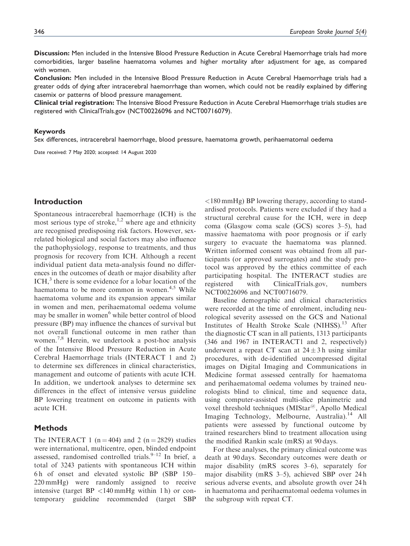Discussion: Men included in the Intensive Blood Pressure Reduction in Acute Cerebral Haemorrhage trials had more comorbidities, larger baseline haematoma volumes and higher mortality after adjustment for age, as compared with women.

Conclusion: Men included in the Intensive Blood Pressure Reduction in Acute Cerebral Haemorrhage trials had a greater odds of dying after intracerebral haemorrhage than women, which could not be readily explained by differing casemix or patterns of blood pressure management.

Clinical trial registration: The Intensive Blood Pressure Reduction in Acute Cerebral Haemorrhage trials studies are registered with ClinicalTrials.gov (NCT00226096 and NCT00716079).

## Keywords

Sex differences, intracerebral haemorrhage, blood pressure, haematoma growth, perihaematomal oedema

Date received: 7 May 2020; accepted: 14 August 2020

# Introduction

Spontaneous intracerebral haemorrhage (ICH) is the most serious type of stroke,<sup>1,2</sup> where age and ethnicity are recognised predisposing risk factors. However, sexrelated biological and social factors may also influence the pathophysiology, response to treatments, and thus prognosis for recovery from ICH. Although a recent individual patient data meta-analysis found no differences in the outcomes of death or major disability after  $\text{ICH}$ , there is some evidence for a lobar location of the haematoma to be more common in women. $4.5$  While haematoma volume and its expansion appears similar in women and men, perihaematomal oedema volume may be smaller in women<sup>6</sup> while better control of blood pressure (BP) may influence the chances of survival but not overall functional outcome in men rather than women.<sup>7,8</sup> Herein, we undertook a post-hoc analysis of the Intensive Blood Pressure Reduction in Acute Cerebral Haemorrhage trials (INTERACT 1 and 2) to determine sex differences in clinical characteristics, management and outcome of patients with acute ICH. In addition, we undertook analyses to determine sex differences in the effect of intensive versus guideline BP lowering treatment on outcome in patients with acute ICH.

# **Methods**

The INTERACT 1 ( $n = 404$ ) and 2 ( $n = 2829$ ) studies were international, multicentre, open, blinded endpoint assessed, randomised controlled trials. $9-12$  In brief, a total of 3243 patients with spontaneous ICH within 6 h of onset and elevated systolic BP (SBP 150– 220 mmHg) were randomly assigned to receive intensive (target BP  $\langle$ 140 mmHg within 1 h) or contemporary guideline recommended (target SBP <180 mmHg) BP lowering therapy, according to standardised protocols. Patients were excluded if they had a structural cerebral cause for the ICH, were in deep coma (Glasgow coma scale (GCS) scores 3–5), had massive haematoma with poor prognosis or if early surgery to evacuate the haematoma was planned. Written informed consent was obtained from all participants (or approved surrogates) and the study protocol was approved by the ethics committee of each participating hospital. The INTERACT studies are registered with ClinicalTrials.gov, numbers NCT00226096 and NCT00716079.

Baseline demographic and clinical characteristics were recorded at the time of enrolment, including neurological severity assessed on the GCS and National Institutes of Health Stroke Scale (NIHSS).<sup>13</sup> After the diagnostic CT scan in all patients, 1313 participants (346 and 1967 in INTERACT1 and 2, respectively) underwent a repeat CT scan at  $24 \pm 3$  h using similar procedures, with de-identified uncompressed digital images on Digital Imaging and Communications in Medicine format assessed centrally for haematoma and perihaematomal oedema volumes by trained neurologists blind to clinical, time and sequence data, using computer-assisted multi-slice planimetric and voxel threshold techniques (MIStar<sup>@</sup>, Apollo Medical Imaging Technology, Melbourne, Australia).<sup>14</sup> All patients were assessed by functional outcome by trained researchers blind to treatment allocation using the modified Rankin scale (mRS) at 90 days.

For these analyses, the primary clinical outcome was death at 90 days. Secondary outcomes were death or major disability (mRS scores 3–6), separately for major disability (mRS 3–5), achieved SBP over 24 h serious adverse events, and absolute growth over 24 h in haematoma and perihaematomal oedema volumes in the subgroup with repeat CT.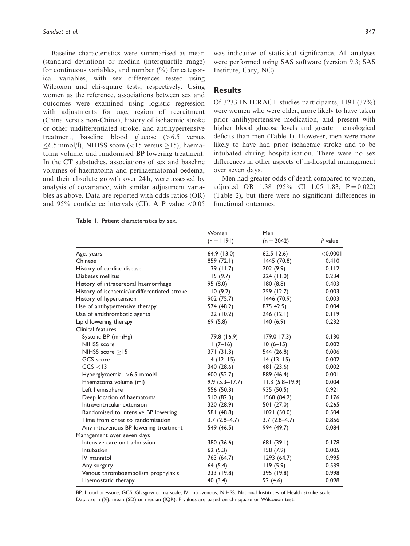Baseline characteristics were summarised as mean (standard deviation) or median (interquartile range) for continuous variables, and number  $(\frac{9}{0})$  for categorical variables, with sex differences tested using Wilcoxon and chi-square tests, respectively. Using women as the reference, associations between sex and outcomes were examined using logistic regression with adjustments for age, region of recruitment (China versus non-China), history of ischaemic stroke or other undifferentiated stroke, and antihypertensive treatment, baseline blood glucose (>6.5 versus  $\leq 6.5$  mmol/l), NIHSS score (<15 versus  $\geq$ 15), haematoma volume, and randomised BP lowering treatment. In the CT substudies, associations of sex and baseline volumes of haematoma and perihaematomal oedema, and their absolute growth over 24 h, were assessed by analysis of covariance, with similar adjustment variables as above. Data are reported with odds ratios (OR) and  $95\%$  confidence intervals (CI). A P value <0.05

Table 1. Patient characteristics by sex.

was indicative of statistical significance. All analyses were performed using SAS software (version 9.3; SAS Institute, Cary, NC).

# Results

Of 3233 INTERACT studies participants, 1191 (37%) were women who were older, more likely to have taken prior antihypertensive medication, and present with higher blood glucose levels and greater neurological deficits than men (Table 1). However, men were more likely to have had prior ischaemic stroke and to be intubated during hospitalisation. There were no sex differences in other aspects of in-hospital management over seven days.

Men had greater odds of death compared to women, adjusted OR 1.38  $(95\% \text{ CI} \quad 1.05-1.83; \quad P = 0.022)$ (Table 2), but there were no significant differences in functional outcomes.

|                                              | Women             | Men              |             |
|----------------------------------------------|-------------------|------------------|-------------|
|                                              | $(n = 1191)$      | $(n = 2042)$     | P value     |
| Age, years                                   | 64.9(13.0)        | $62.5$ 12.6)     | $<$ 0.000 l |
| Chinese                                      | 859 (72.1)        | 1445 (70.8)      | 0.410       |
| History of cardiac disease                   | 139(11.7)         | 202 (9.9)        | 0.112       |
| Diabetes mellitus                            | 115(9.7)          | 224 (11.0)       | 0.234       |
| History of intracerebral haemorrhage         | 95 (8.0)          | 180(8.8)         | 0.403       |
| History of ischaemic/undifferentiated stroke | 110(9.2)          | 259 (12.7)       | 0.003       |
| History of hypertension                      | 902 (75.7)        | 1446 (70.9)      | 0.003       |
| Use of antihypertensive therapy              | 574 (48.2)        | 875 42.9)        | 0.004       |
| Use of antithrombotic agents                 | 122(10.2)         | 246(12.1)        | 0.119       |
| Lipid lowering therapy                       | 69(5.8)           | 140(6.9)         | 0.232       |
| Clinical features                            |                   |                  |             |
| Systolic BP (mmHg)                           | 179.8(16.9)       | $179.0$ 17.3)    | 0.130       |
| NIHSS score                                  | $11(7-16)$        | $10(6-15)$       | 0.002       |
| NIHSS score $>15$                            | 371 (31.3)        | 544 (26.8)       | 0.006       |
| GCS score                                    | $14(12-15)$       | $14(13-15)$      | 0.002       |
| GCS < 13                                     | 340 (28.6)        | 481 (23.6)       | 0.002       |
| Hyperglycaemia. >6.5 mmol/l                  | 600 (52.7)        | 889 (46.4)       | 0.001       |
| Haematoma volume (ml)                        | $9.9(5.3 - 17.7)$ | $11.3(5.8-19.9)$ | 0.004       |
| Left hemisphere                              | 556 (50.3)        | 935 (50.5)       | 0.921       |
| Deep location of haematoma                   | 910(82.3)         | 1560 (84.2)      | 0.176       |
| Intraventricular extension                   | 320 (28.9)        | 501 (27.0)       | 0.265       |
| Randomised to intensive BP lowering          | 581 (48.8)        | 1021(50.0)       | 0.504       |
| Time from onset to randomisation             | $3.7(2.8-4.7)$    | $3.7(2.8-4.7)$   | 0.856       |
| Any intravenous BP lowering treatment        | 549 (46.5)        | 994 (49.7)       | 0.084       |
| Management over seven days                   |                   |                  |             |
| Intensive care unit admission                | 380 (36.6)        | 681 (39.1)       | 0.178       |
| Intubation                                   | 62(5.3)           | 158(7.9)         | 0.005       |
| IV mannitol                                  | 763 (64.7)        | 1293(64.7)       | 0.995       |
| Any surgery                                  | 64 (5.4)          | 119(5.9)         | 0.539       |
| Venous thromboembolism prophylaxis           | 233 (19.8)        | 395 (19.8)       | 0.998       |
| Haemostatic therapy                          | 40 (3.4)          | 92 (4.6)         | 0.098       |

BP: blood pressure; GCS: Glasgow coma scale; IV: intravenous; NIHSS: National Institutes of Health stroke scale. Data are n (%), mean (SD) or median (IQR). P values are based on chi-square or Wilcoxon test.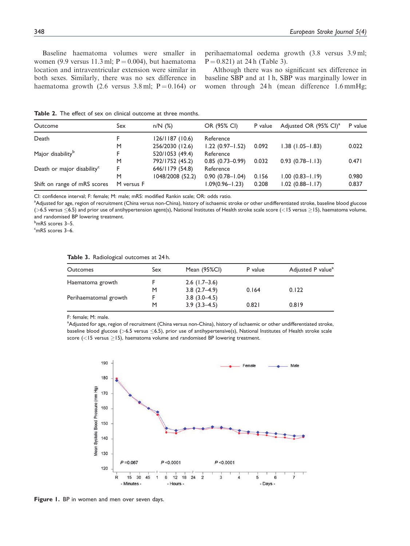Baseline haematoma volumes were smaller in women (9.9 versus 11.3 ml;  $P = 0.004$ ), but haematoma location and intraventricular extension were similar in both sexes. Similarly, there was no sex difference in haematoma growth (2.6 versus  $3.8 \text{ ml}$ ; P = 0.164) or

perihaematomal oedema growth (3.8 versus 3.9 ml;  $P = 0.821$ ) at 24 h (Table 3).

Although there was no significant sex difference in baseline SBP and at 1 h, SBP was marginally lower in women through 24 h (mean difference 1.6 mmHg;

Table 2. The effect of sex on clinical outcome at three months.

| Outcome                                | Sex        | $n/N$ (%)        | OR (95% CI)         | P value | Adjusted OR (95% CI) <sup>a</sup> | P value |
|----------------------------------------|------------|------------------|---------------------|---------|-----------------------------------|---------|
| Death                                  |            | 126/1187(10.6)   | Reference           |         |                                   |         |
|                                        | M          | 256/2030 (12.6)  | $1.22(0.97 - 1.52)$ | 0.092   | $1.38$ $(1.05 - 1.83)$            | 0.022   |
| Major disability <sup>b</sup>          |            | 520/1053 (49.4)  | Reference           |         |                                   |         |
|                                        | M          | 792/1752 (45.2)  | $0.85(0.73-0.99)$   | 0.032   | $0.93(0.78 - 1.13)$               | 0.471   |
| Death or major disability <sup>c</sup> |            | 646/1179 (54.8)  | Reference           |         |                                   |         |
|                                        | M          | 1048/2008 (52.2) | $0.90(0.78 - 1.04)$ | 0.156   | $1.00(0.83 - 1.19)$               | 0.980   |
| Shift on range of mRS scores           | M versus F |                  | $1.09(0.96 - 1.23)$ | 0.208   | $1.02$ (0.88-1.17)                | 0.837   |

CI: confidence interval; F: female; M: male; mRS: modified Rankin scale; OR: odds ratio.

<sup>a</sup>Adjusted for age, region of recruitment (China versus non-China), history of ischaemic stroke or other undifferentiated stroke, baseline blood glucose (>6.5 versus  $\leq$ 6.5) and prior use of antihypertension agent(s), National Institutes of Health stroke scale score (<15 versus  $\geq$ 15), haematoma volume, and randomised BP lowering treatment.

<sup>b</sup>mRS scores 3–5.

<sup>c</sup>mRS scores 3–6.

|  |  |  |  |  |  |  |  | <b>Table 3.</b> Radiological outcomes at 24 h. |  |  |  |
|--|--|--|--|--|--|--|--|------------------------------------------------|--|--|--|
|--|--|--|--|--|--|--|--|------------------------------------------------|--|--|--|

| <b>Outcomes</b>       | Sex | Mean (95%CI)    | P value | Adjusted P value <sup>a</sup> |
|-----------------------|-----|-----------------|---------|-------------------------------|
| Haematoma growth      |     | $2.6$ (1.7–3.6) |         |                               |
|                       | M   | $3.8(2.7-4.9)$  | 0.164   | 0.122                         |
| Perihaematomal growth |     | $3.8(3.0-4.5)$  |         |                               |
|                       | M   | $3.9(3.3-4.5)$  | 0.821   | 0.819                         |

F: female; M: male.

a Adjusted for age, region of recruitment (China versus non-China), history of ischaemic or other undifferentiated stroke, baseline blood glucose ( $>6.5$  versus  $< 6.5$ ), prior use of antihypertensive(s), National Institutes of Health stroke scale score ( $<$ 15 versus  $\ge$ 15), haematoma volume and randomised BP lowering treatment.



Figure 1. BP in women and men over seven days.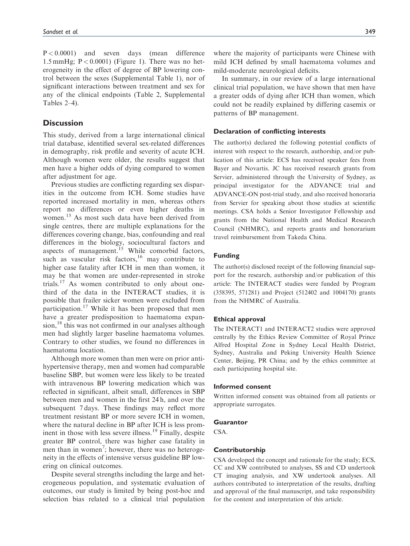P < 0.0001) and seven days (mean difference 1.5 mmHg;  $P < 0.0001$ ) (Figure 1). There was no heterogeneity in the effect of degree of BP lowering control between the sexes (Supplemental Table 1), nor of significant interactions between treatment and sex for any of the clinical endpoints (Table 2, Supplemental Tables 2–4).

# **Discussion**

This study, derived from a large international clinical trial database, identified several sex-related differences in demography, risk profile and severity of acute ICH. Although women were older, the results suggest that men have a higher odds of dying compared to women after adjustment for age.

Previous studies are conflicting regarding sex disparities in the outcome from ICH. Some studies have reported increased mortality in men, whereas others report no differences or even higher deaths in women.<sup>15</sup> As most such data have been derived from single centres, there are multiple explanations for the differences covering change, bias, confounding and real differences in the biology, sociocultural factors and aspects of management.<sup>15</sup> While comorbid factors, such as vascular risk factors, $16$  may contribute to higher case fatality after ICH in men than women, it may be that women are under-represented in stroke trials.<sup>17</sup> As women contributed to only about onethird of the data in the INTERACT studies, it is possible that frailer sicker women were excluded from participation.<sup>17</sup> While it has been proposed that men have a greater predisposition to haematoma expan $sion,$ <sup>18</sup> this was not confirmed in our analyses although men had slightly larger baseline haematoma volumes. Contrary to other studies, we found no differences in haematoma location.

Although more women than men were on prior antihypertensive therapy, men and women had comparable baseline SBP, but women were less likely to be treated with intravenous BP lowering medication which was reflected in significant, albeit small, differences in SBP between men and women in the first 24 h, and over the subsequent 7 days. These findings may reflect more treatment resistant BP or more severe ICH in women, where the natural decline in BP after ICH is less prominent in those with less severe illness.<sup>19</sup> Finally, despite greater BP control, there was higher case fatality in men than in women<sup>7</sup>; however, there was no heterogeneity in the effects of intensive versus guideline BP lowering on clinical outcomes.

Despite several strengths including the large and heterogeneous population, and systematic evaluation of outcomes, our study is limited by being post-hoc and selection bias related to a clinical trial population where the majority of participants were Chinese with mild ICH defined by small haematoma volumes and mild-moderate neurological deficits.

In summary, in our review of a large international clinical trial population, we have shown that men have a greater odds of dying after ICH than women, which could not be readily explained by differing casemix or patterns of BP management.

#### Declaration of conflicting interests

The author(s) declared the following potential conflicts of interest with respect to the research, authorship, and/or publication of this article: ECS has received speaker fees from Bayer and Novartis. JC has received research grants from Servier, administered through the University of Sydney, as principal investigator for the ADVANCE trial and ADVANCE-ON post-trial study, and also received honoraria from Servier for speaking about those studies at scientific meetings. CSA holds a Senior Investigator Fellowship and grants from the National Health and Medical Research Council (NHMRC), and reports grants and honorarium travel reimbursement from Takeda China.

# Funding

The author(s) disclosed receipt of the following financial support for the research, authorship and/or publication of this article: The INTERACT studies were funded by Program (358395, 571281) and Project (512402 and 1004170) grants from the NHMRC of Australia.

## Ethical approval

The INTERACT1 and INTERACT2 studies were approved centrally by the Ethics Review Committee of Royal Prince Alfred Hospital Zone in Sydney Local Health District, Sydney, Australia and Peking University Health Science Center, Beijing, PR China; and by the ethics committee at each participating hospital site.

## Informed consent

Written informed consent was obtained from all patients or appropriate surrogates.

### **Guarantor**

CSA.

#### Contributorship

CSA developed the concept and rationale for the study; ECS, CC and XW contributed to analyses, SS and CD undertook CT imaging analysis, and XW undertook analyses. All authors contributed to interpretation of the results, drafting and approval of the final manuscript, and take responsibility for the content and interpretation of this article.